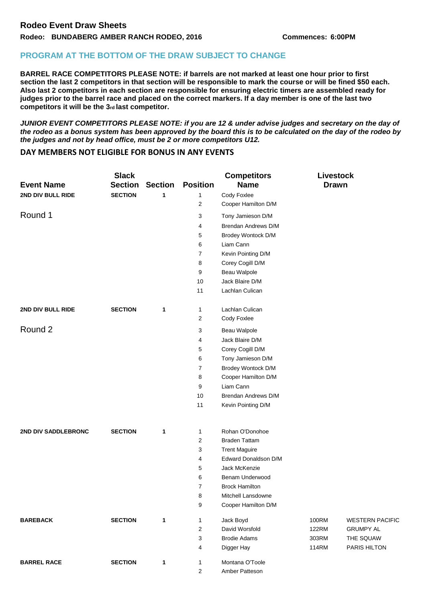## **PROGRAM AT THE BOTTOM OF THE DRAW SUBJECT TO CHANGE**

**BARREL RACE COMPETITORS PLEASE NOTE: if barrels are not marked at least one hour prior to first section the last 2 competitors in that section will be responsible to mark the course or will be fined \$50 each. Also last 2 competitors in each section are responsible for ensuring electric timers are assembled ready for judges prior to the barrel race and placed on the correct markers. If a day member is one of the last two competitors it will be the 3rd last competitor.** 

*JUNIOR EVENT COMPETITORS PLEASE NOTE: if you are 12 & under advise judges and secretary on the day of the rodeo as a bonus system has been approved by the board this is to be calculated on the day of the rodeo by the judges and not by head office, must be 2 or more competitors U12.* 

## **DAY MEMBERS NOT ELIGIBLE FOR BONUS IN ANY EVENTS**

| <b>Event Name</b>   | <b>Slack</b><br><b>Section</b> | <b>Section</b> | <b>Position</b> | <b>Competitors</b><br><b>Name</b> | <b>Livestock</b><br><b>Drawn</b> |                           |
|---------------------|--------------------------------|----------------|-----------------|-----------------------------------|----------------------------------|---------------------------|
| 2ND DIV BULL RIDE   | <b>SECTION</b>                 | 1              | 1               | Cody Foxlee                       |                                  |                           |
|                     |                                |                | 2               | Cooper Hamilton D/M               |                                  |                           |
| Round 1             |                                |                | 3               | Tony Jamieson D/M                 |                                  |                           |
|                     |                                |                | 4               | Brendan Andrews D/M               |                                  |                           |
|                     |                                |                | 5               | Brodey Wontock D/M                |                                  |                           |
|                     |                                |                | 6               | Liam Cann                         |                                  |                           |
|                     |                                |                | 7               | Kevin Pointing D/M                |                                  |                           |
|                     |                                |                | 8               | Corey Cogill D/M                  |                                  |                           |
|                     |                                |                | 9               | Beau Walpole                      |                                  |                           |
|                     |                                |                | 10              | Jack Blaire D/M                   |                                  |                           |
|                     |                                |                | 11              | Lachlan Culican                   |                                  |                           |
| 2ND DIV BULL RIDE   | <b>SECTION</b>                 | 1              | 1               | Lachlan Culican                   |                                  |                           |
|                     |                                |                | 2               | Cody Foxlee                       |                                  |                           |
| Round 2             |                                |                | 3               | Beau Walpole                      |                                  |                           |
|                     |                                |                | 4               | Jack Blaire D/M                   |                                  |                           |
|                     |                                |                | 5               | Corey Cogill D/M                  |                                  |                           |
|                     |                                |                | 6               | Tony Jamieson D/M                 |                                  |                           |
|                     |                                |                | $\overline{7}$  | Brodey Wontock D/M                |                                  |                           |
|                     |                                |                | 8               | Cooper Hamilton D/M               |                                  |                           |
|                     |                                |                | 9               | Liam Cann                         |                                  |                           |
|                     |                                |                | 10              | Brendan Andrews D/M               |                                  |                           |
|                     |                                |                | 11              | Kevin Pointing D/M                |                                  |                           |
| 2ND DIV SADDLEBRONC | <b>SECTION</b>                 | 1              | $\mathbf{1}$    | Rohan O'Donohoe                   |                                  |                           |
|                     |                                |                | 2               | <b>Braden Tattam</b>              |                                  |                           |
|                     |                                |                | 3               | <b>Trent Maguire</b>              |                                  |                           |
|                     |                                |                | 4               | Edward Donaldson D/M              |                                  |                           |
|                     |                                |                | 5               | Jack McKenzie                     |                                  |                           |
|                     |                                |                | 6               | Benam Underwood                   |                                  |                           |
|                     |                                |                | 7               | <b>Brock Hamilton</b>             |                                  |                           |
|                     |                                |                | 8               | Mitchell Lansdowne                |                                  |                           |
|                     |                                |                | 9               | Cooper Hamilton D/M               |                                  |                           |
| <b>BAREBACK</b>     | <b>SECTION</b>                 | 1              | $\mathbf{1}$    | Jack Boyd<br>David Worsfold       | 100RM                            | <b>WESTERN PACIFIC</b>    |
|                     |                                |                | $\overline{2}$  | <b>Brodie Adams</b>               | <b>122RM</b>                     | <b>GRUMPY AL</b>          |
|                     |                                |                | 3<br>4          | Digger Hay                        | 303RM<br>114RM                   | THE SQUAW<br>PARIS HILTON |
|                     |                                |                |                 |                                   |                                  |                           |
| <b>BARREL RACE</b>  | <b>SECTION</b>                 | $\mathbf{1}$   | $\mathbf{1}$    | Montana O'Toole                   |                                  |                           |
|                     |                                |                | 2               | Amber Patteson                    |                                  |                           |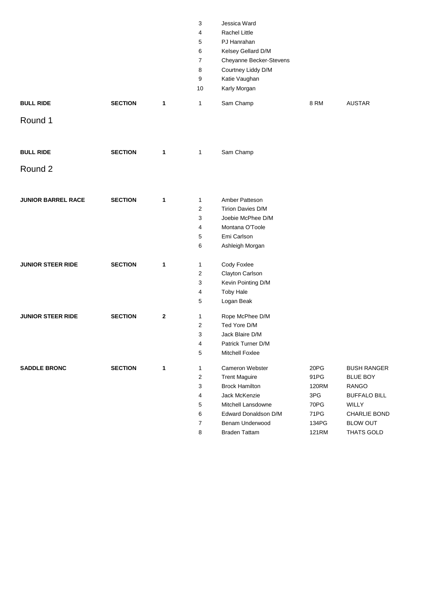|                           |                |              | 3                       | Jessica Ward             |              |                     |
|---------------------------|----------------|--------------|-------------------------|--------------------------|--------------|---------------------|
|                           |                |              | 4                       | <b>Rachel Little</b>     |              |                     |
|                           |                |              | 5                       | PJ Hanrahan              |              |                     |
|                           |                |              | 6                       | Kelsey Gellard D/M       |              |                     |
|                           |                |              | 7                       | Cheyanne Becker-Stevens  |              |                     |
|                           |                |              | 8                       | Courtney Liddy D/M       |              |                     |
|                           |                |              | 9                       | Katie Vaughan            |              |                     |
|                           |                |              | 10                      | Karly Morgan             |              |                     |
| <b>BULL RIDE</b>          | <b>SECTION</b> | 1            | $\mathbf{1}$            | Sam Champ                | <b>8 RM</b>  | <b>AUSTAR</b>       |
| Round 1                   |                |              |                         |                          |              |                     |
| <b>BULL RIDE</b>          | <b>SECTION</b> | 1            | $\mathbf{1}$            | Sam Champ                |              |                     |
| Round 2                   |                |              |                         |                          |              |                     |
| <b>JUNIOR BARREL RACE</b> | <b>SECTION</b> | 1            | $\mathbf{1}$            | Amber Patteson           |              |                     |
|                           |                |              | 2                       | <b>Tirion Davies D/M</b> |              |                     |
|                           |                |              | 3                       | Joebie McPhee D/M        |              |                     |
|                           |                |              | 4                       | Montana O'Toole          |              |                     |
|                           |                |              | 5                       | Emi Carlson              |              |                     |
|                           |                |              | 6                       | Ashleigh Morgan          |              |                     |
| <b>JUNIOR STEER RIDE</b>  | <b>SECTION</b> | 1            | $\mathbf{1}$            | Cody Foxlee              |              |                     |
|                           |                |              | 2                       | Clayton Carlson          |              |                     |
|                           |                |              | 3                       | Kevin Pointing D/M       |              |                     |
|                           |                |              | 4                       | <b>Toby Hale</b>         |              |                     |
|                           |                |              | 5                       | Logan Beak               |              |                     |
| <b>JUNIOR STEER RIDE</b>  | <b>SECTION</b> | $\mathbf{2}$ | $\mathbf{1}$            | Rope McPhee D/M          |              |                     |
|                           |                |              | $\overline{2}$          | Ted Yore D/M             |              |                     |
|                           |                |              | 3                       | Jack Blaire D/M          |              |                     |
|                           |                |              | $\overline{\mathbf{4}}$ | Patrick Turner D/M       |              |                     |
|                           |                |              | 5                       | Mitchell Foxlee          |              |                     |
| <b>SADDLE BRONC</b>       | <b>SECTION</b> | 1            | $\mathbf{1}$            | Cameron Webster          | 20PG         | <b>BUSH RANGER</b>  |
|                           |                |              | $\overline{2}$          | <b>Trent Maguire</b>     | 91PG         | <b>BLUE BOY</b>     |
|                           |                |              | $\mathbf{3}$            | <b>Brock Hamilton</b>    | 120RM        | <b>RANGO</b>        |
|                           |                |              | 4                       | Jack McKenzie            | 3PG          | <b>BUFFALO BILL</b> |
|                           |                |              | 5                       | Mitchell Lansdowne       | 70PG         | WILLY               |
|                           |                |              | 6                       | Edward Donaldson D/M     | 71PG         | CHARLIE BOND        |
|                           |                |              | $\overline{7}$          | Benam Underwood          | 134PG        | <b>BLOW OUT</b>     |
|                           |                |              | 8                       | <b>Braden Tattam</b>     | <b>121RM</b> | THATS GOLD          |